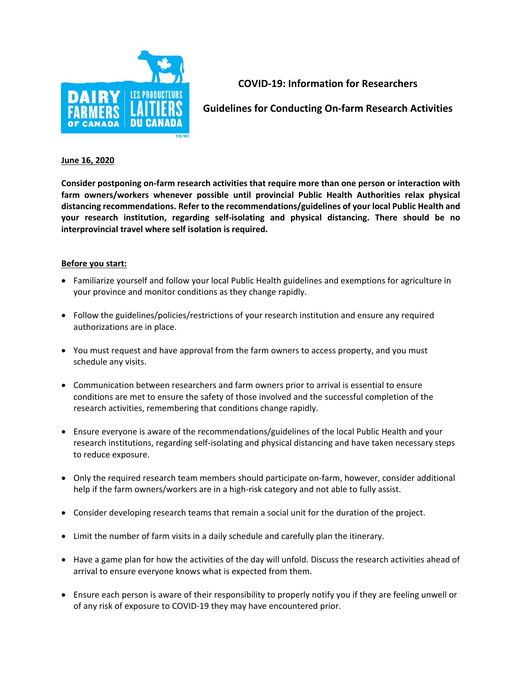

**COVID‐19: Information for Researchers** 

**Guidelines for Conducting On‐farm Research Activities** 

## **June 16, 2020**

**Consider postponing on‐farm research activities that require more than one person or interaction with farm owners/workers whenever possible until provincial Public Health Authorities relax physical distancing recommendations. Refer to the recommendations/guidelines of your local Public Health and your research institution, regarding self‐isolating and physical distancing. There should be no interprovincial travel where self isolation is required.** 

## **Before you start:**

- Familiarize yourself and follow your local Public Health guidelines and exemptions for agriculture in your province and monitor conditions as they change rapidly.
- Follow the guidelines/policies/restrictions of your research institution and ensure any required authorizations are in place.
- You must request and have approval from the farm owners to access property, and you must schedule any visits.
- Communication between researchers and farm owners prior to arrival is essential to ensure conditions are met to ensure the safety of those involved and the successful completion of the research activities, remembering that conditions change rapidly.
- Ensure everyone is aware of the recommendations/guidelines of the local Public Health and your research institutions, regarding self‐isolating and physical distancing and have taken necessary steps to reduce exposure.
- Only the required research team members should participate on-farm, however, consider additional help if the farm owners/workers are in a high-risk category and not able to fully assist.
- Consider developing research teams that remain a social unit for the duration of the project.
- Limit the number of farm visits in a daily schedule and carefully plan the itinerary.
- Have a game plan for how the activities of the day will unfold. Discuss the research activities ahead of arrival to ensure everyone knows what is expected from them.
- Ensure each person is aware of their responsibility to properly notify you if they are feeling unwell or of any risk of exposure to COVID‐19 they may have encountered prior.